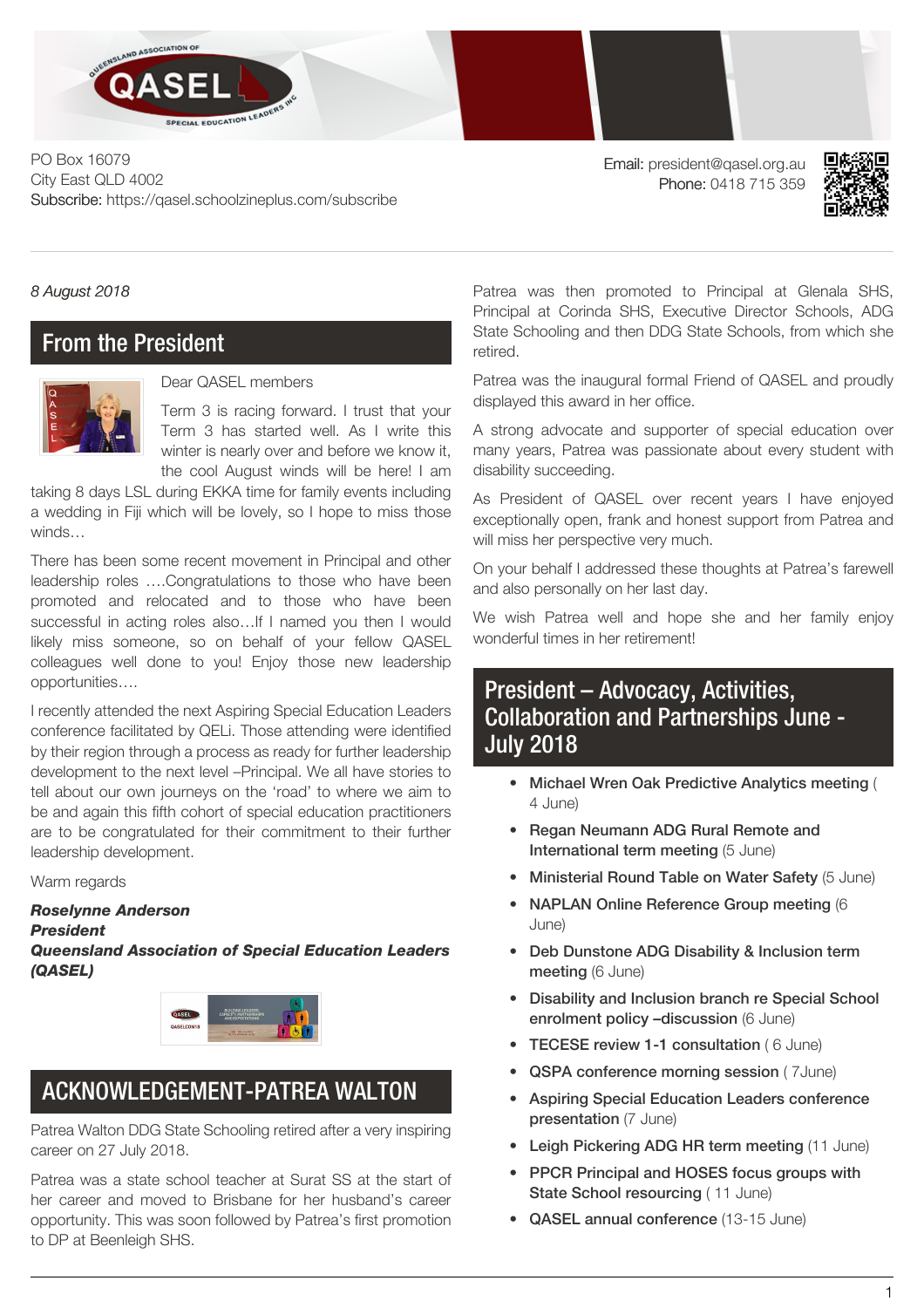

PO Box 16079 City East QLD 4002 Subscribe: https://qasel.schoolzineplus.com/subscribe

Email: president@qasel.org.au Phone: 0418 715 359



*8 August 2018*

### From the President



Dear QASEL members

Term 3 is racing forward. I trust that your Term 3 has started well. As I write this winter is nearly over and before we know it, the cool August winds will be here! I am

taking 8 days LSL during EKKA time for family events including a wedding in Fiji which will be lovely, so I hope to miss those winds…

There has been some recent movement in Principal and other leadership roles ….Congratulations to those who have been promoted and relocated and to those who have been successful in acting roles also...If I named you then I would likely miss someone, so on behalf of your fellow QASEL colleagues well done to you! Enjoy those new leadership opportunities….

I recently attended the next Aspiring Special Education Leaders conference facilitated by QELi. Those attending were identified by their region through a process as ready for further leadership development to the next level –Principal. We all have stories to tell about our own journeys on the 'road' to where we aim to be and again this fifth cohort of special education practitioners are to be congratulated for their commitment to their further leadership development.

Warm regards

#### *Roselynne Anderson*

*President*

*Queensland Association of Special Education Leaders (QASEL)*



# ACKNOWLEDGEMENT-PATREA WALTON

Patrea Walton DDG State Schooling retired after a very inspiring career on 27 July 2018.

Patrea was a state school teacher at Surat SS at the start of her career and moved to Brisbane for her husband's career opportunity. This was soon followed by Patrea's first promotion to DP at Beenleigh SHS.

Patrea was then promoted to Principal at Glenala SHS, Principal at Corinda SHS, Executive Director Schools, ADG State Schooling and then DDG State Schools, from which she retired.

Patrea was the inaugural formal Friend of QASEL and proudly displayed this award in her office.

A strong advocate and supporter of special education over many years, Patrea was passionate about every student with disability succeeding.

As President of QASEL over recent years I have enjoyed exceptionally open, frank and honest support from Patrea and will miss her perspective very much.

On your behalf I addressed these thoughts at Patrea's farewell and also personally on her last day.

We wish Patrea well and hope she and her family enjoy wonderful times in her retirement!

## President – Advocacy, Activities, Collaboration and Partnerships June - July 2018

- Michael Wren Oak Predictive Analytics meeting ( 4 June)
- Regan Neumann ADG Rural Remote and International term meeting (5 June)
- Ministerial Round Table on Water Safety (5 June)
- NAPLAN Online Reference Group meeting (6 June)
- Deb Dunstone ADG Disability & Inclusion term meeting (6 June)
- Disability and Inclusion branch re Special School enrolment policy –discussion (6 June)
- TECESE review 1-1 consultation ( 6 June)
- QSPA conference morning session ( 7June)
- Aspiring Special Education Leaders conference presentation (7 June)
- Leigh Pickering ADG HR term meeting (11 June)
- PPCR Principal and HOSES focus groups with State School resourcing (11 June)
- QASEL annual conference (13-15 June)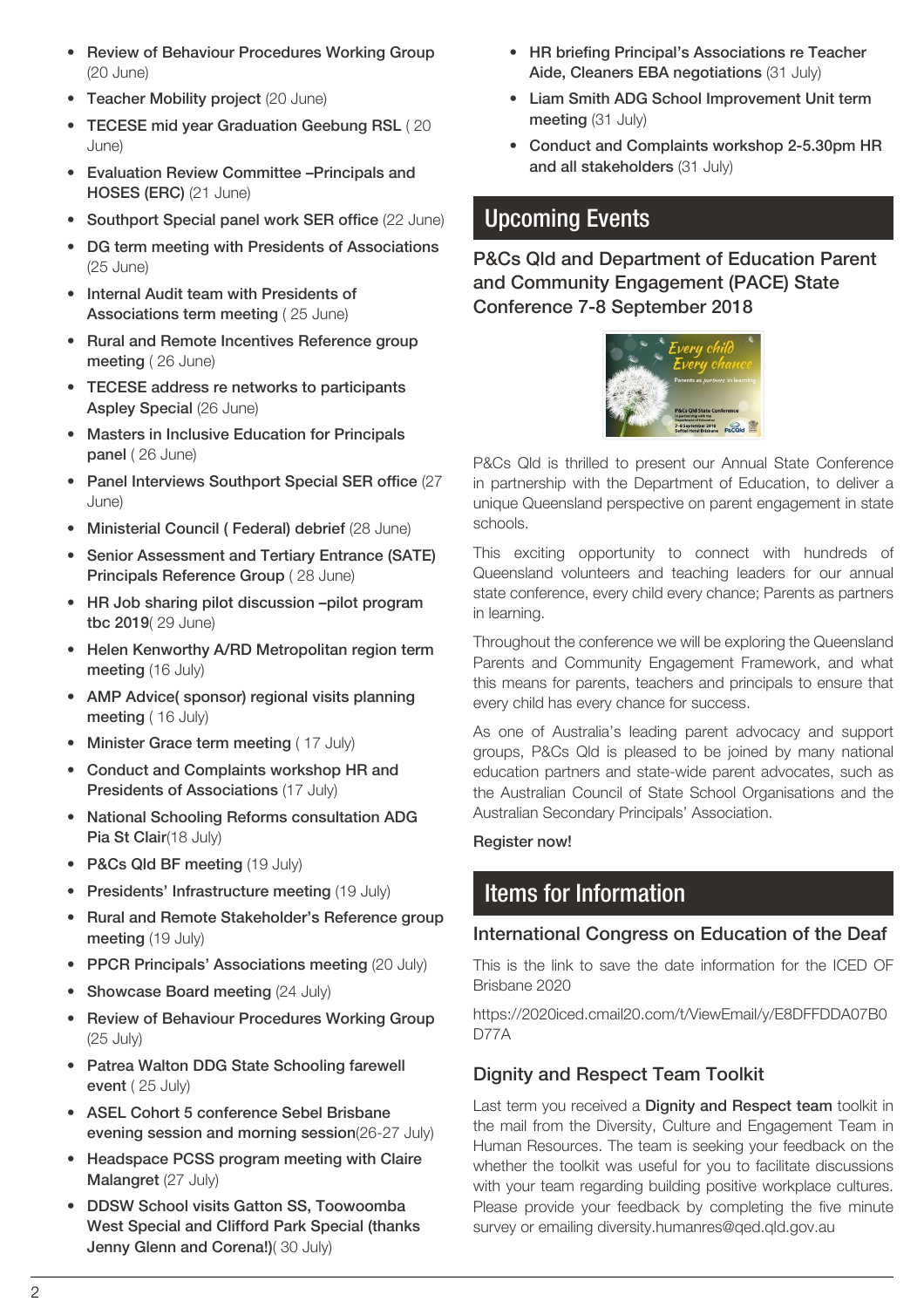- Review of Behaviour Procedures Working Group (20 June)
- Teacher Mobility project (20 June)
- TECESE mid year Graduation Geebung RSL ( 20 June)
- Evaluation Review Committee –Principals and HOSES (ERC) (21 June)
- Southport Special panel work SER office (22 June)
- DG term meeting with Presidents of Associations (25 June)
- Internal Audit team with Presidents of Associations term meeting (25 June)
- Rural and Remote Incentives Reference group meeting ( 26 June)
- TECESE address re networks to participants Aspley Special (26 June)
- Masters in Inclusive Education for Principals panel ( 26 June)
- Panel Interviews Southport Special SER office (27 June)
- Ministerial Council ( Federal) debrief (28 June)
- Senior Assessment and Tertiary Entrance (SATE) Principals Reference Group ( 28 June)
- HR Job sharing pilot discussion –pilot program tbc 2019( 29 June)
- Helen Kenworthy A/RD Metropolitan region term meeting (16 July)
- AMP Advice( sponsor) regional visits planning meeting (16 July)
- Minister Grace term meeting (17 July)
- Conduct and Complaints workshop HR and Presidents of Associations (17 July)
- National Schooling Reforms consultation ADG Pia St Clair(18 July)
- P&Cs Qld BF meeting (19 July)
- Presidents' Infrastructure meeting (19 July)
- Rural and Remote Stakeholder's Reference group meeting (19 July)
- PPCR Principals' Associations meeting (20 July)
- Showcase Board meeting (24 July)
- Review of Behaviour Procedures Working Group (25 July)
- Patrea Walton DDG State Schooling farewell event ( 25 July)
- ASEL Cohort 5 conference Sebel Brisbane evening session and morning session(26-27 July)
- Headspace PCSS program meeting with Claire Malangret (27 July)
- DDSW School visits Gatton SS, Toowoomba West Special and Clifford Park Special (thanks Jenny Glenn and Corena!)( 30 July)
- HR briefing Principal's Associations re Teacher Aide, Cleaners EBA negotiations (31 July)
- Liam Smith ADG School Improvement Unit term meeting (31 July)
- Conduct and Complaints workshop 2-5.30pm HR and all stakeholders (31 July)

# Upcoming Events

P&Cs Qld and Department of Education Parent and Community Engagement (PACE) State Conference 7-8 September 2018



P&Cs Qld is thrilled to present our Annual State Conference in partnership with the Department of Education, to deliver a unique Queensland perspective on parent engagement in state schools.

This exciting opportunity to connect with hundreds of Queensland volunteers and teaching leaders for our annual state conference, every child every chance; Parents as partners in learning.

Throughout the conference we will be exploring the Queensland Parents and Community Engagement Framework, and what this means for parents, teachers and principals to ensure that every child has every chance for success.

As one of Australia's leading parent advocacy and support groups, P&Cs Qld is pleased to be joined by many national education partners and state-wide parent advocates, such as the Australian Council of State School Organisations and the Australian Secondary Principals' Association.

#### Register now!

## Items for Information

#### International Congress on Education of the Deaf

This is the link to save the date information for the ICED OF Brisbane 2020

https://2020iced.cmail20.com/t/ViewEmail/y/E8DFFDDA07B0 D77A

### Dignity and Respect Team Toolkit

Last term you received a Dignity and Respect team toolkit in the mail from the Diversity, Culture and Engagement Team in Human Resources. The team is seeking your feedback on the whether the toolkit was useful for you to facilitate discussions with your team regarding building positive workplace cultures. Please provide your feedback by completing the five minute survey or emailing [diversity.humanres@qed.qld.gov.au](mailto:diversity.humanres@qed.qld.gov.au)